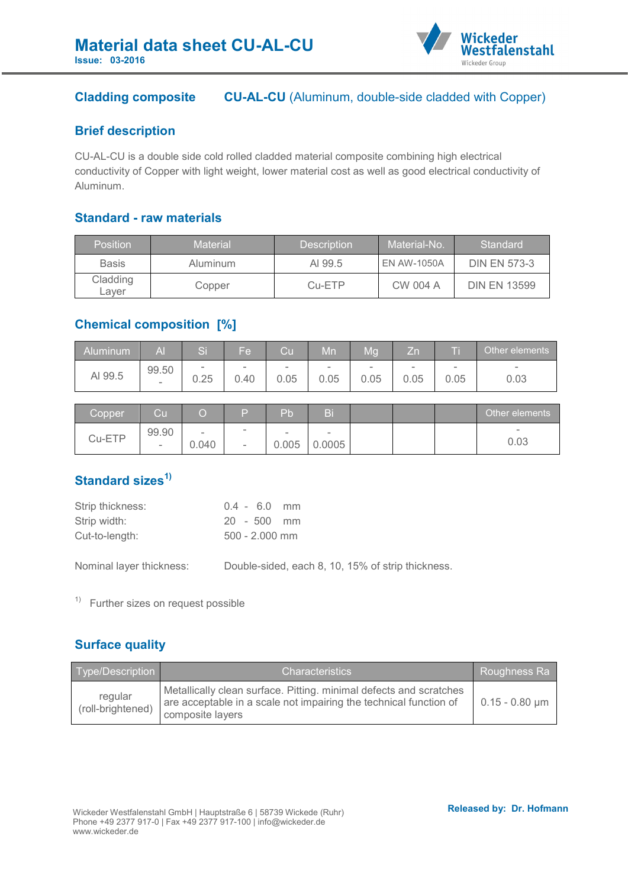

## **Cladding composite CU-AL-CU** (Aluminum, double-side cladded with Copper)

#### **Brief description**

CU-AL-CU is a double side cold rolled cladded material composite combining high electrical conductivity of Copper with light weight, lower material cost as well as good electrical conductivity of Aluminum.

#### **Standard - raw materials**

| <b>Position</b>   | Material | <b>Description</b> | Material-No.       | Standard            |
|-------------------|----------|--------------------|--------------------|---------------------|
| <b>Basis</b>      | Aluminum | AI 99.5            | <b>EN AW-1050A</b> | <b>DIN EN 573-3</b> |
| Cladding<br>Laver | Copper   | Cu-ETP             | CW 004 A           | <b>DIN EN 13599</b> |

### **Chemical composition [%]**

| <b>Aluminum</b> | Al                       | $\sim$<br>∾⊪             | Fel                      | Cu              | Mn                       | Mq   | Zn                       |      | Other elements           |
|-----------------|--------------------------|--------------------------|--------------------------|-----------------|--------------------------|------|--------------------------|------|--------------------------|
| AI 99.5         | 99.50                    | $\overline{\phantom{a}}$ | $\overline{\phantom{a}}$ | $\qquad \qquad$ | $\overline{\phantom{a}}$ | ۰    | $\overline{\phantom{a}}$ | -    | $\overline{\phantom{a}}$ |
|                 | $\overline{\phantom{a}}$ | 0.25                     | 0.40                     | 0.05            | 0.05                     | 0.05 | 0.05                     | 0.05 | 0.03                     |

| Copper | Cu         |                                   | Б                                  | Pb              | Bi               |  | Other elements                   |
|--------|------------|-----------------------------------|------------------------------------|-----------------|------------------|--|----------------------------------|
| Cu-ETP | 99.90<br>- | $\overline{\phantom{a}}$<br>0.040 | $\sim$<br>$\overline{\phantom{a}}$ | $\sim$<br>0.005 | $\sim$<br>0.0005 |  | $\overline{\phantom{a}}$<br>0.03 |

# **Standard sizes1)**

| Strip thickness: | $0.4 - 6.0$ mm   |
|------------------|------------------|
| Strip width:     | $20 - 500$ mm    |
| Cut-to-length:   | $500 - 2.000$ mm |

Nominal layer thickness: Double-sided, each 8, 10, 15% of strip thickness.

 $1)$  Further sizes on request possible

## **Surface quality**

| Type/Description             | lCharacteristics '                                                                                                                                          | Roughness Ra     |
|------------------------------|-------------------------------------------------------------------------------------------------------------------------------------------------------------|------------------|
| regular<br>(roll-brightened) | Metallically clean surface. Pitting. minimal defects and scratches<br>are acceptable in a scale not impairing the technical function of<br>composite layers | $0.15 - 0.80$ µm |